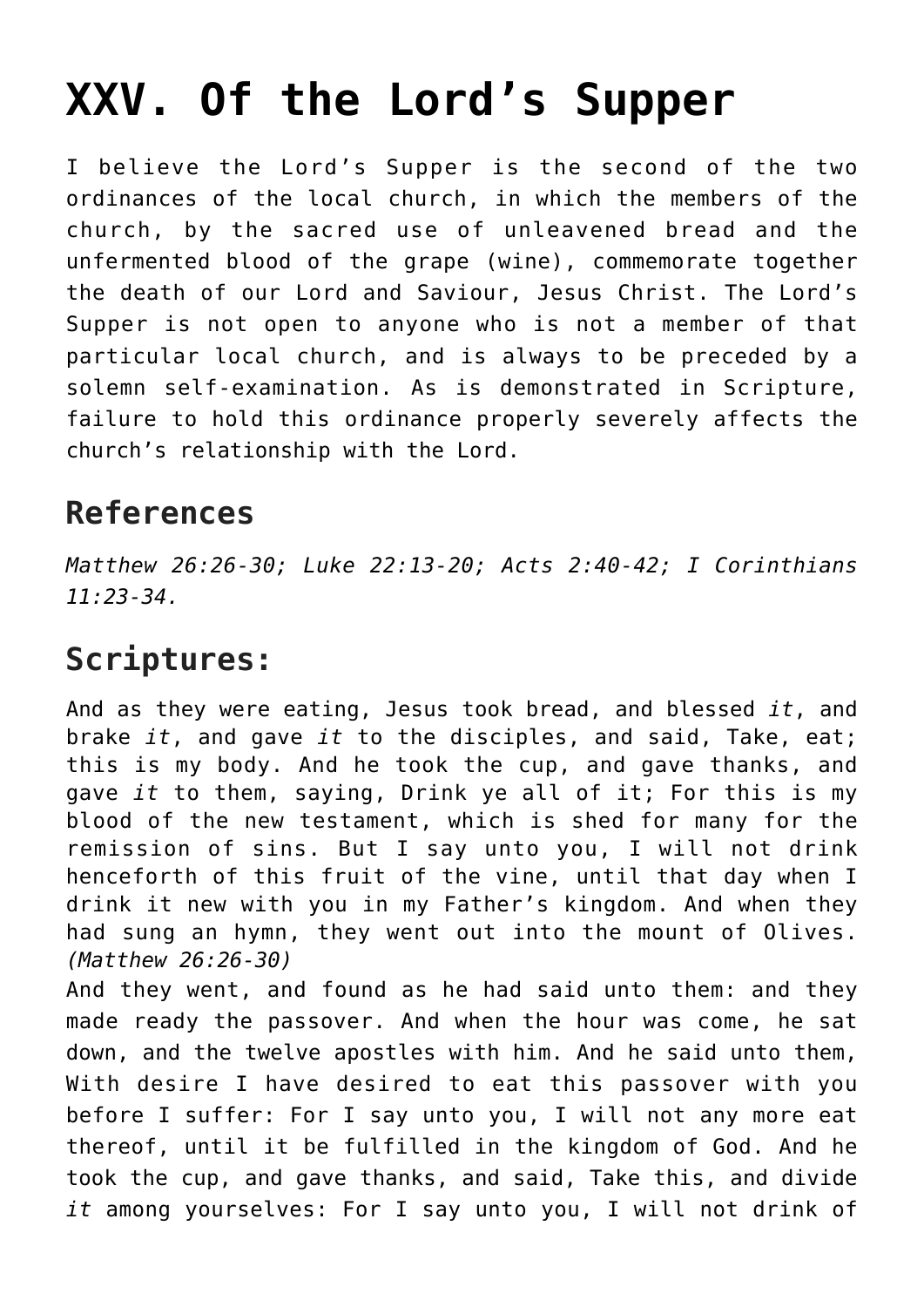## **[XXV. Of the Lord's Supper](https://reproachofmen.org/statement-of-faith/xxv-of-the-lords-supper/)**

I believe the Lord's Supper is the second of the two ordinances of the local church, in which the members of the church, by the sacred use of unleavened bread and the unfermented blood of the grape (wine), commemorate together the death of our Lord and Saviour, Jesus Christ. The Lord's Supper is not open to anyone who is not a member of that particular local church, and is always to be preceded by a solemn self-examination. As is demonstrated in Scripture, failure to hold this ordinance properly severely affects the church's relationship with the Lord.

## **References**

*Matthew 26:26-30; Luke 22:13-20; Acts 2:40-42; I Corinthians 11:23-34.*

## **Scriptures:**

And as they were eating, Jesus took bread, and blessed *it*, and brake *it*, and gave *it* to the disciples, and said, Take, eat; this is my body. And he took the cup, and gave thanks, and gave *it* to them, saying, Drink ye all of it; For this is my blood of the new testament, which is shed for many for the remission of sins. But I say unto you, I will not drink henceforth of this fruit of the vine, until that day when I drink it new with you in my Father's kingdom. And when they had sung an hymn, they went out into the mount of Olives. *(Matthew 26:26-30)*

And they went, and found as he had said unto them: and they made ready the passover. And when the hour was come, he sat down, and the twelve apostles with him. And he said unto them, With desire I have desired to eat this passover with you before I suffer: For I say unto you, I will not any more eat thereof, until it be fulfilled in the kingdom of God. And he took the cup, and gave thanks, and said, Take this, and divide *it* among yourselves: For I say unto you, I will not drink of